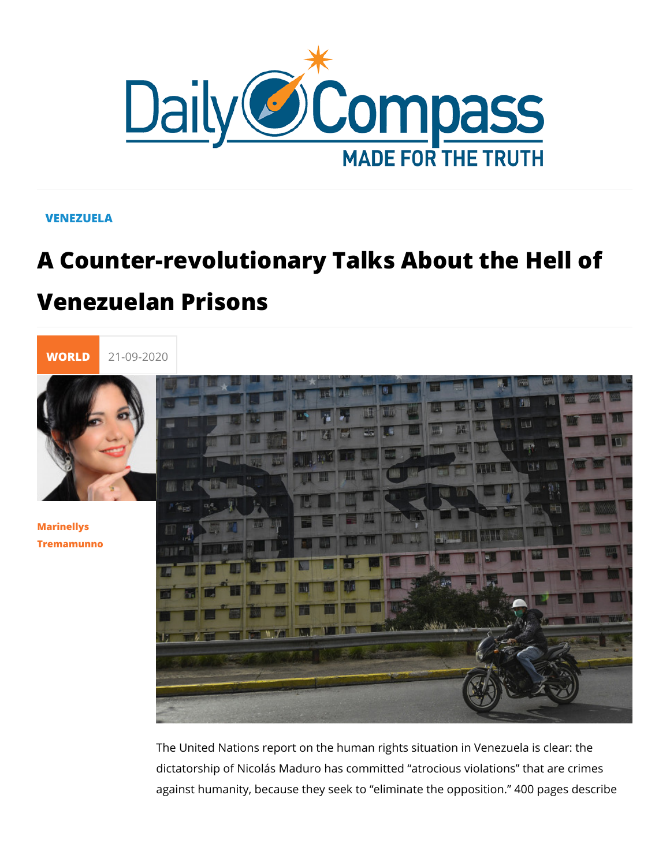#### VENEZUELA

# A Counter-revolutionary Talks About th Venezuelan Prisons



[Marinell](/en/marinellys-tremamunno)ys [Tremamun](/en/marinellys-tremamunno)no

> The United Nations report on the human rights situation in Ver dictatorship of Nicolás Maduro has committed atrocious violat against humanity, because they seek to eliminate the oppositi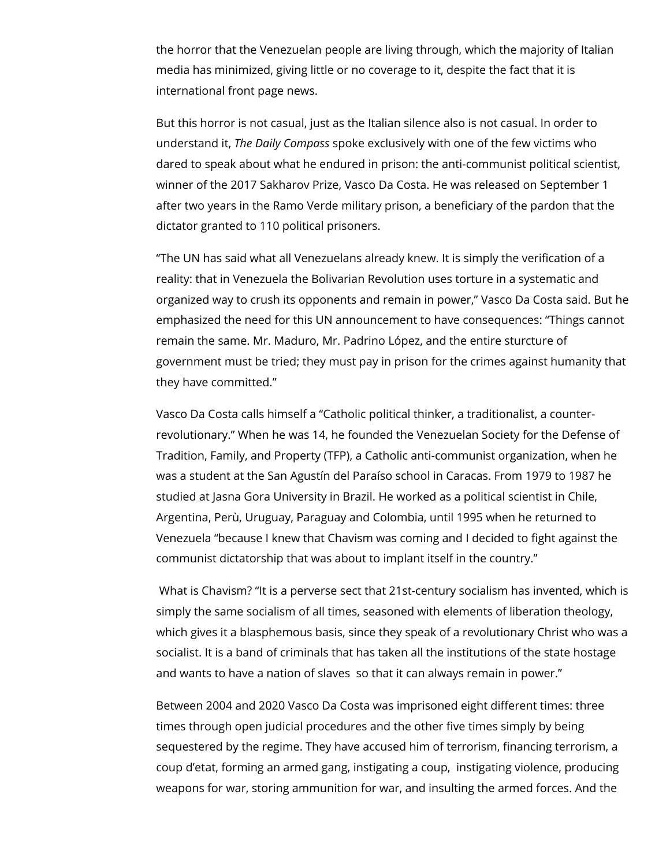the horror that the Venezuelan people are living through, which the majority of Italian media has minimized, giving little or no coverage to it, despite the fact that it is international front page news.

But this horror is not casual, just as the Italian silence also is not casual. In order to understand it, *The Daily Compass* spoke exclusively with one of the few victims who dared to speak about what he endured in prison: the anti-communist political scientist, winner of the 2017 Sakharov Prize, Vasco Da Costa. He was released on September 1 after two years in the Ramo Verde military prison, a beneficiary of the pardon that the dictator granted to 110 political prisoners.

"The UN has said what all Venezuelans already knew. It is simply the verification of a reality: that in Venezuela the Bolivarian Revolution uses torture in a systematic and organized way to crush its opponents and remain in power," Vasco Da Costa said. But he emphasized the need for this UN announcement to have consequences: "Things cannot remain the same. Mr. Maduro, Mr. Padrino López, and the entire sturcture of government must be tried; they must pay in prison for the crimes against humanity that they have committed."

Vasco Da Costa calls himself a "Catholic political thinker, a traditionalist, a counterrevolutionary." When he was 14, he founded the Venezuelan Society for the Defense of Tradition, Family, and Property (TFP), a Catholic anti-communist organization, when he was a student at the San Agustín del Paraíso school in Caracas. From 1979 to 1987 he studied at Jasna Gora University in Brazil. He worked as a political scientist in Chile, Argentina, Perù, Uruguay, Paraguay and Colombia, until 1995 when he returned to Venezuela "because I knew that Chavism was coming and I decided to fight against the communist dictatorship that was about to implant itself in the country."

 What is Chavism? "It is a perverse sect that 21st-century socialism has invented, which is simply the same socialism of all times, seasoned with elements of liberation theology, which gives it a blasphemous basis, since they speak of a revolutionary Christ who was a socialist. It is a band of criminals that has taken all the institutions of the state hostage and wants to have a nation of slaves so that it can always remain in power."

Between 2004 and 2020 Vasco Da Costa was imprisoned eight different times: three times through open judicial procedures and the other five times simply by being sequestered by the regime. They have accused him of terrorism, financing terrorism, a coup d'etat, forming an armed gang, instigating a coup, instigating violence, producing weapons for war, storing ammunition for war, and insulting the armed forces. And the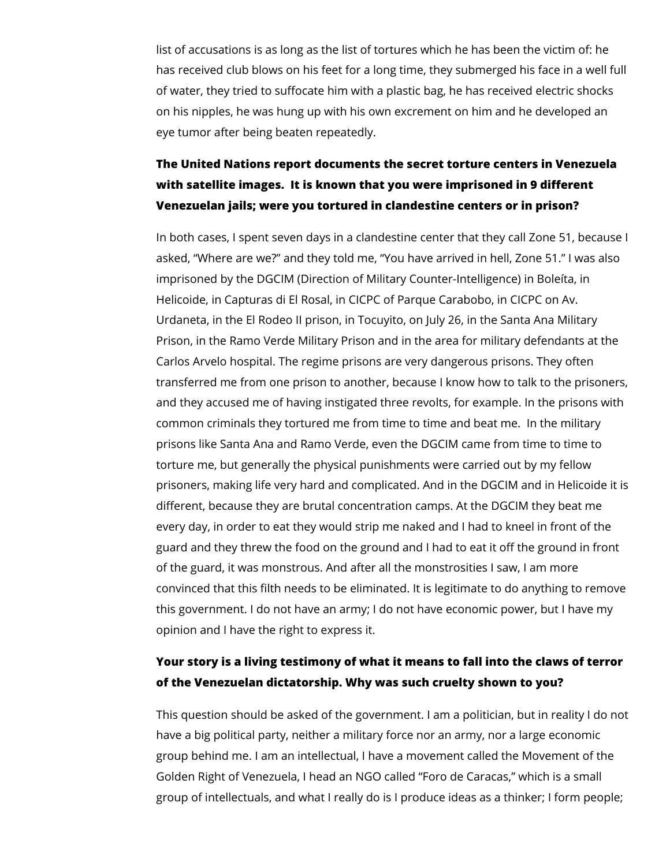list of accusations is as long as the list of tortures which he has been the victim of: he has received club blows on his feet for a long time, they submerged his face in a well full of water, they tried to suffocate him with a plastic bag, he has received electric shocks on his nipples, he was hung up with his own excrement on him and he developed an eye tumor after being beaten repeatedly.

# **The United Nations report documents the secret torture centers in Venezuela with satellite images. It is known that you were imprisoned in 9 different Venezuelan jails; were you tortured in clandestine centers or in prison?**

In both cases, I spent seven days in a clandestine center that they call Zone 51, because I asked, "Where are we?" and they told me, "You have arrived in hell, Zone 51." I was also imprisoned by the DGCIM (Direction of Military Counter-Intelligence) in Boleíta, in Helicoide, in Capturas di El Rosal, in CICPC of Parque Carabobo, in CICPC on Av. Urdaneta, in the El Rodeo II prison, in Tocuyito, on July 26, in the Santa Ana Military Prison, in the Ramo Verde Military Prison and in the area for military defendants at the Carlos Arvelo hospital. The regime prisons are very dangerous prisons. They often transferred me from one prison to another, because I know how to talk to the prisoners, and they accused me of having instigated three revolts, for example. In the prisons with common criminals they tortured me from time to time and beat me. In the military prisons like Santa Ana and Ramo Verde, even the DGCIM came from time to time to torture me, but generally the physical punishments were carried out by my fellow prisoners, making life very hard and complicated. And in the DGCIM and in Helicoide it is different, because they are brutal concentration camps. At the DGCIM they beat me every day, in order to eat they would strip me naked and I had to kneel in front of the guard and they threw the food on the ground and I had to eat it off the ground in front of the guard, it was monstrous. And after all the monstrosities I saw, I am more convinced that this filth needs to be eliminated. It is legitimate to do anything to remove this government. I do not have an army; I do not have economic power, but I have my opinion and I have the right to express it.

## **Your story is a living testimony of what it means to fall into the claws of terror of the Venezuelan dictatorship. Why was such cruelty shown to you?**

This question should be asked of the government. I am a politician, but in reality I do not have a big political party, neither a military force nor an army, nor a large economic group behind me. I am an intellectual, I have a movement called the Movement of the Golden Right of Venezuela, I head an NGO called "Foro de Caracas," which is a small group of intellectuals, and what I really do is I produce ideas as a thinker; I form people;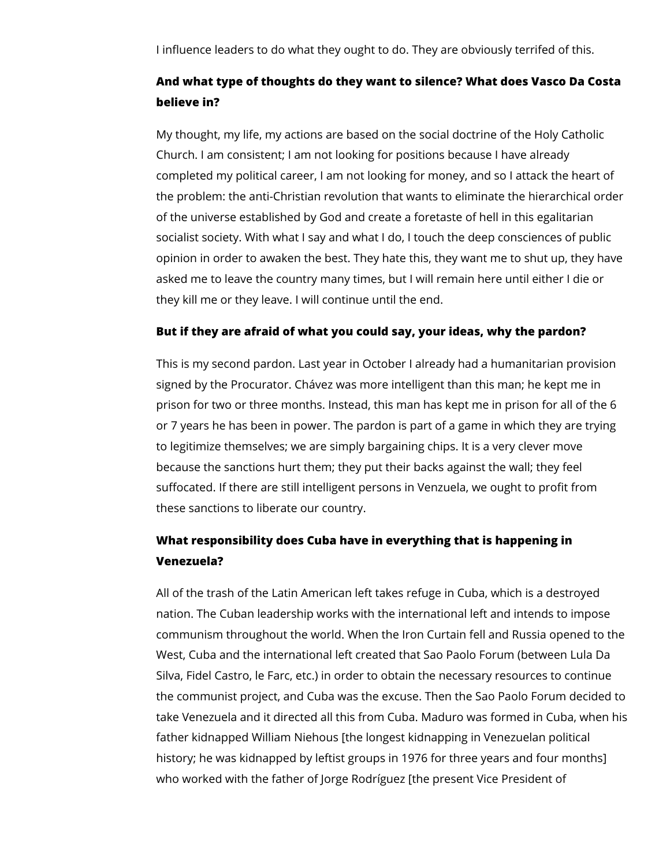I influence leaders to do what they ought to do. They are obviously terrifed of this.

### **And what type of thoughts do they want to silence? What does Vasco Da Costa believe in?**

My thought, my life, my actions are based on the social doctrine of the Holy Catholic Church. I am consistent; I am not looking for positions because I have already completed my political career, I am not looking for money, and so I attack the heart of the problem: the anti-Christian revolution that wants to eliminate the hierarchical order of the universe established by God and create a foretaste of hell in this egalitarian socialist society. With what I say and what I do, I touch the deep consciences of public opinion in order to awaken the best. They hate this, they want me to shut up, they have asked me to leave the country many times, but I will remain here until either I die or they kill me or they leave. I will continue until the end.

#### **But if they are afraid of what you could say, your ideas, why the pardon?**

This is my second pardon. Last year in October I already had a humanitarian provision signed by the Procurator. Chávez was more intelligent than this man; he kept me in prison for two or three months. Instead, this man has kept me in prison for all of the 6 or 7 years he has been in power. The pardon is part of a game in which they are trying to legitimize themselves; we are simply bargaining chips. It is a very clever move because the sanctions hurt them; they put their backs against the wall; they feel suffocated. If there are still intelligent persons in Venzuela, we ought to profit from these sanctions to liberate our country.

### **What responsibility does Cuba have in everything that is happening in Venezuela?**

All of the trash of the Latin American left takes refuge in Cuba, which is a destroyed nation. The Cuban leadership works with the international left and intends to impose communism throughout the world. When the Iron Curtain fell and Russia opened to the West, Cuba and the international left created that Sao Paolo Forum (between Lula Da Silva, Fidel Castro, le Farc, etc.) in order to obtain the necessary resources to continue the communist project, and Cuba was the excuse. Then the Sao Paolo Forum decided to take Venezuela and it directed all this from Cuba. Maduro was formed in Cuba, when his father kidnapped William Niehous [the longest kidnapping in Venezuelan political history; he was kidnapped by leftist groups in 1976 for three years and four months] who worked with the father of Jorge Rodríguez [the present Vice President of